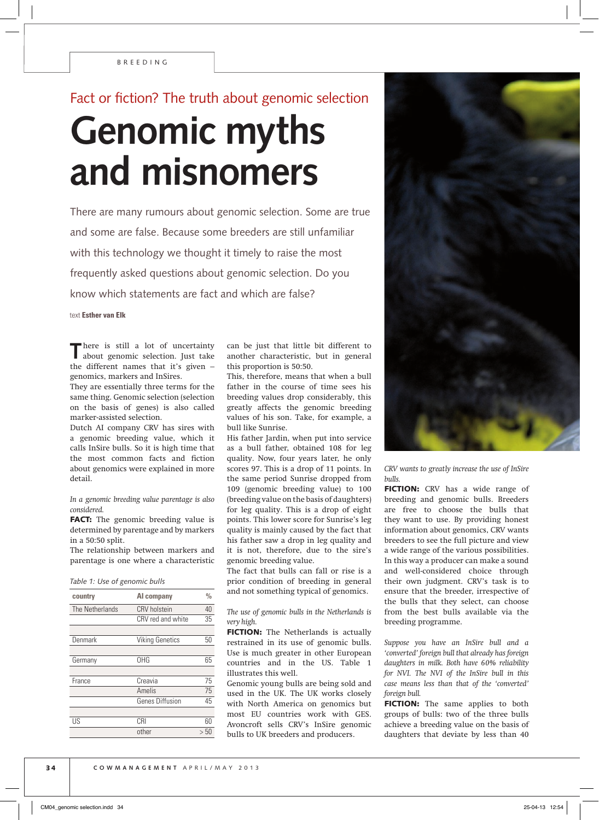## Fact or fiction? The truth about genomic selection **Genomic myths and misnomers**

There are many rumours about genomic selection. Some are true and some are false. Because some breeders are still unfamiliar with this technology we thought it timely to raise the most frequently asked questions about genomic selection. Do you know which statements are fact and which are false?

text **Esther van Elk**

There is still a lot of uncertainty about genomic selection. Just take the different names that it's given – genomics, markers and InSires.

They are essentially three terms for the same thing. Genomic selection (selection on the basis of genes) is also called marker-assisted selection.

Dutch AI company CRV has sires with a genomic breeding value, which it calls InSire bulls. So it is high time that the most common facts and fiction about genomics were explained in more detail.

*In a genomic breeding value parentage is also considered.*

FACT: The genomic breeding value is determined by parentage and by markers in a 50:50 split.

The relationship between markers and parentage is one where a characteristic

|  |  |  |  | Table 1: Use of genomic bulls |  |  |
|--|--|--|--|-------------------------------|--|--|
|--|--|--|--|-------------------------------|--|--|

| country         | Al company             | $\frac{0}{0}$ |
|-----------------|------------------------|---------------|
| The Netherlands | <b>CRV</b> holstein    | 40            |
|                 | CRV red and white      | 35            |
|                 |                        |               |
| Denmark         | <b>Viking Genetics</b> | 50            |
|                 |                        |               |
| Germany         | OHG                    | 65            |
|                 |                        |               |
| France          | Creavia                | 75            |
|                 | Amelis                 | 75            |
|                 | <b>Genes Diffusion</b> | 45            |
|                 |                        |               |
| US              | CRI                    | 60            |
|                 | other                  | > 50          |

can be just that little bit different to another characteristic, but in general this proportion is 50:50.

This, therefore, means that when a bull father in the course of time sees his breeding values drop considerably, this greatly affects the genomic breeding values of his son. Take, for example, a bull like Sunrise.

His father Jardin, when put into service as a bull father, obtained 108 for leg quality. Now, four years later, he only scores 97. This is a drop of 11 points. In the same period Sunrise dropped from 109 (genomic breeding value) to 100 (breeding value on the basis of daughters) for leg quality. This is a drop of eight points. This lower score for Sunrise's leg quality is mainly caused by the fact that his father saw a drop in leg quality and it is not, therefore, due to the sire's genomic breeding value.

The fact that bulls can fall or rise is a prior condition of breeding in general and not something typical of genomics.

*The use of genomic bulls in the Netherlands is very high.*

FICTION: The Netherlands is actually restrained in its use of genomic bulls. Use is much greater in other European countries and in the US. Table 1 illustrates this well.

Genomic young bulls are being sold and used in the UK. The UK works closely with North America on genomics but most EU countries work with GES. Avoncroft sells CRV's InSire genomic bulls to UK breeders and producers.



*CRV wants to greatly increase the use of InSire bulls.*

FICTION: CRV has a wide range of breeding and genomic bulls. Breeders are free to choose the bulls that they want to use. By providing honest information about genomics, CRV wants breeders to see the full picture and view a wide range of the various possibilities. In this way a producer can make a sound and well-considered choice through their own judgment. CRV's task is to ensure that the breeder, irrespective of the bulls that they select, can choose from the best bulls available via the breeding programme.

*Suppose you have an InSire bull and a 'converted' foreign bull that already has foreign daughters in milk. Both have 60% reliability for NVI. The NVI of the InSire bull in this case means less than that of the 'converted' foreign bull.*

FICTION: The same applies to both groups of bulls: two of the three bulls achieve a breeding value on the basis of daughters that deviate by less than 40